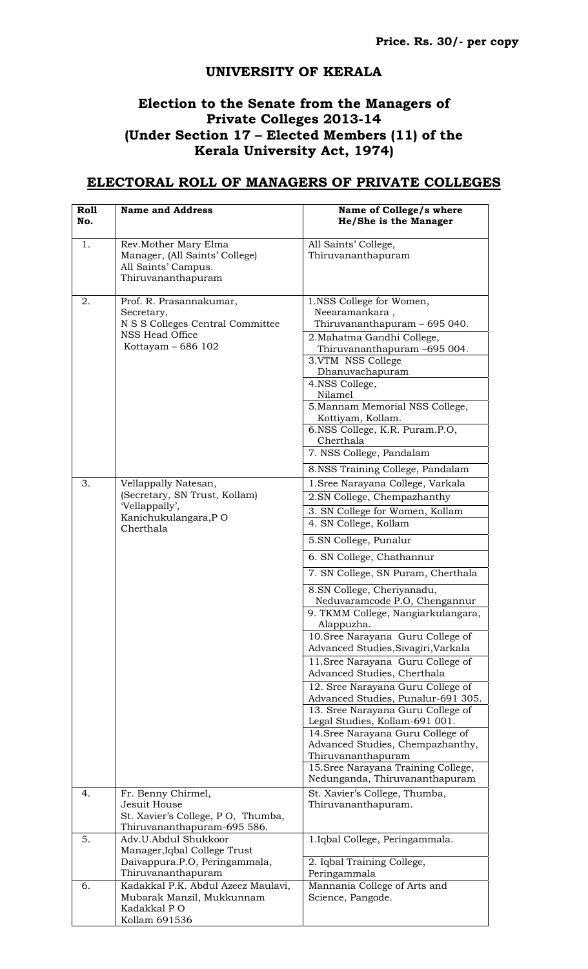## **UNIVERSITY OF KERALA**

# **Election to the Senate from the Managers of Private Colleges 2013-14 (Under Section 17 – Elected Members (11) of the Kerala University Act, 1974)**

### **ELECTORAL ROLL OF MANAGERS OF PRIVATE COLLEGES**

| Roll<br>No. | <b>Name and Address</b>                                                                             | Name of College/s where<br>He/She is the Manager                            |
|-------------|-----------------------------------------------------------------------------------------------------|-----------------------------------------------------------------------------|
| 1.          | Rev.Mother Mary Elma<br>Manager, (All Saints' College)<br>All Saints' Campus.<br>Thiruvananthapuram | All Saints' College,<br>Thiruvananthapuram                                  |
| 2.          | Prof. R. Prasannakumar,<br>Secretary,<br>N S S Colleges Central Committee<br>NSS Head Office        | 1.NSS College for Women,<br>Neearamankara,<br>Thiruvananthapuram - 695 040. |
|             | Kottayam $-686$ 102                                                                                 | 2. Mahatma Gandhi College,<br>Thiruvananthapuram -695 004.                  |
|             |                                                                                                     | 3.VTM NSS College<br>Dhanuvachapuram                                        |
|             |                                                                                                     | 4.NSS College,<br>Nilamel                                                   |
|             |                                                                                                     | 5. Mannam Memorial NSS College,<br>Kottiyam, Kollam.                        |
|             |                                                                                                     | 6.NSS College, K.R. Puram.P.O,<br>Cherthala                                 |
|             |                                                                                                     | 7. NSS College, Pandalam                                                    |
|             |                                                                                                     | 8.NSS Training College, Pandalam                                            |
| 3.          | Vellappally Natesan,                                                                                | 1.Sree Narayana College, Varkala                                            |
|             | (Secretary, SN Trust, Kollam)                                                                       | 2.SN College, Chempazhanthy                                                 |
|             | Vellappally',                                                                                       | 3. SN College for Women, Kollam                                             |
|             | Kanichukulangara, PO<br>Cherthala                                                                   | 4. SN College, Kollam                                                       |
|             |                                                                                                     | 5.SN College, Punalur                                                       |
|             |                                                                                                     | 6. SN College, Chathannur                                                   |
|             |                                                                                                     | 7. SN College, SN Puram, Cherthala                                          |
|             |                                                                                                     | 8.SN College, Cheriyanadu,<br>Neduvaramcode P.O, Chengannur                 |
|             |                                                                                                     | 9. TKMM College, Nangiarkulangara,<br>Alappuzha.                            |
|             |                                                                                                     | 10. Sree Narayana Guru College of<br>Advanced Studies, Sivagiri, Varkala    |
|             |                                                                                                     | 11. Sree Narayana Guru College of<br>Advanced Studies, Cherthala            |
|             |                                                                                                     | 12. Sree Narayana Guru College of                                           |
|             |                                                                                                     | Advanced Studies, Punalur-691 305.<br>13. Sree Narayana Guru College of     |
|             |                                                                                                     | Legal Studies, Kollam-691 001.                                              |
|             |                                                                                                     | 14. Sree Narayana Guru College of                                           |
|             |                                                                                                     | Advanced Studies, Chempazhanthy,                                            |
|             |                                                                                                     | Thiruvananthapuram                                                          |
|             |                                                                                                     | 15. Sree Narayana Training College,<br>Nedunganda, Thiruvananthapuram       |
| 4.          | Fr. Benny Chirmel,                                                                                  | St. Xavier's College, Thumba,                                               |
|             | Jesuit House                                                                                        | Thiruvananthapuram.                                                         |
|             | St. Xavier's College, PO, Thumba,                                                                   |                                                                             |
|             | Thiruvananthapuram-695 586.                                                                         |                                                                             |
| 5.          | Adv.U.Abdul Shukkoor                                                                                | 1.Iqbal College, Peringammala.                                              |
|             | Manager, Iqbal College Trust<br>Daivappura.P.O, Peringammala,                                       | 2. Iqbal Training College,                                                  |
|             | Thiruvananthapuram                                                                                  | Peringammala                                                                |
| 6.          | Kadakkal P.K. Abdul Azeez Maulavi,                                                                  | Mannania College of Arts and                                                |
|             | Mubarak Manzil, Mukkunnam                                                                           | Science, Pangode.                                                           |
|             | Kadakkal PO<br>Kollam 691536                                                                        |                                                                             |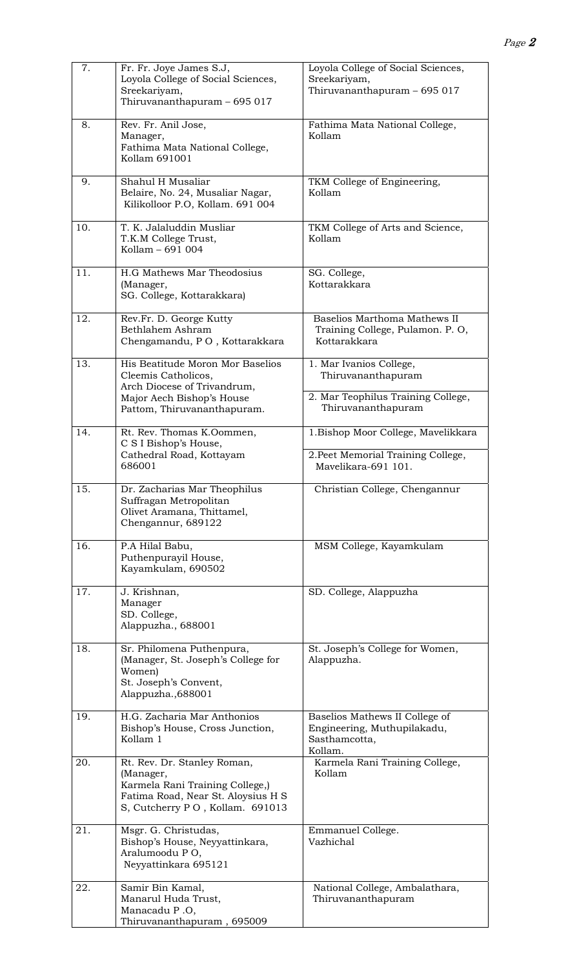| 7.                | Fr. Fr. Joye James S.J,<br>Loyola College of Social Sciences,<br>Sreekariyam,<br>Thiruvananthapuram - 695 017                                        | Loyola College of Social Sciences,<br>Sreekariyam,<br>Thiruvananthapuram - 695 017                        |
|-------------------|------------------------------------------------------------------------------------------------------------------------------------------------------|-----------------------------------------------------------------------------------------------------------|
| 8.                | Rev. Fr. Anil Jose,<br>Manager,<br>Fathima Mata National College,<br>Kollam 691001                                                                   | Fathima Mata National College,<br>Kollam                                                                  |
| 9.                | Shahul H Musaliar<br>Belaire, No. 24, Musaliar Nagar,<br>Kilikolloor P.O, Kollam. 691 004                                                            | TKM College of Engineering,<br>Kollam                                                                     |
| 10.               | T. K. Jalaluddin Musliar<br>T.K.M College Trust,<br>Kollam - 691 004                                                                                 | TKM College of Arts and Science,<br>Kollam                                                                |
| $\overline{11}$ . | H.G Mathews Mar Theodosius<br>(Manager,<br>SG. College, Kottarakkara)                                                                                | SG. College,<br>Kottarakkara                                                                              |
| 12.               | Rev.Fr. D. George Kutty<br>Bethlahem Ashram<br>Chengamandu, PO, Kottarakkara                                                                         | Baselios Marthoma Mathews II<br>Training College, Pulamon. P. O,<br>Kottarakkara                          |
| $\overline{1}3.$  | His Beatitude Moron Mor Baselios<br>Cleemis Catholicos,<br>Arch Diocese of Trivandrum,<br>Major Aech Bishop's House<br>Pattom, Thiruvananthapuram.   | 1. Mar Ivanios College,<br>Thiruvananthapuram<br>2. Mar Teophilus Training College,<br>Thiruvananthapuram |
| $\overline{14}$ . | Rt. Rev. Thomas K.Oommen,<br>C S I Bishop's House,<br>Cathedral Road, Kottayam<br>686001                                                             | 1. Bishop Moor College, Mavelikkara<br>2. Peet Memorial Training College,<br>Mavelikara-691 101.          |
| 15.               | Dr. Zacharias Mar Theophilus<br>Suffragan Metropolitan<br>Olivet Aramana, Thittamel,<br>Chengannur, 689122                                           | Christian College, Chengannur                                                                             |
| 16.               | P.A Hilal Babu,<br>Puthenpurayil House,<br>Kayamkulam, 690502                                                                                        | MSM College, Kayamkulam                                                                                   |
| 17.               | J. Krishnan,<br>Manager<br>SD. College,<br>Alappuzha., 688001                                                                                        | SD. College, Alappuzha                                                                                    |
| 18.               | Sr. Philomena Puthenpura,<br>(Manager, St. Joseph's College for<br>Women)<br>St. Joseph's Convent,<br>Alappuzha., 688001                             | St. Joseph's College for Women,<br>Alappuzha.                                                             |
| 19.               | H.G. Zacharia Mar Anthonios<br>Bishop's House, Cross Junction,<br>Kollam 1                                                                           | Baselios Mathews II College of<br>Engineering, Muthupilakadu,<br>Sasthamcotta,<br>Kollam.                 |
| 20.               | Rt. Rev. Dr. Stanley Roman,<br>(Manager,<br>Karmela Rani Training College,)<br>Fatima Road, Near St. Aloysius H S<br>S, Cutcherry PO, Kollam. 691013 | Karmela Rani Training College,<br>Kollam                                                                  |

Emmanuel College.

Thiruvananthapuram

National College, Ambalathara,

Vazhichal

21. Msgr. G. Christudas,

22. Samir Bin Kamal,

Aralumoodu P O, Neyyattinkara 695121

Manarul Huda Trust, Manacadu P .O,

Bishop's House, Neyyattinkara,

Thiruvananthapuram , 695009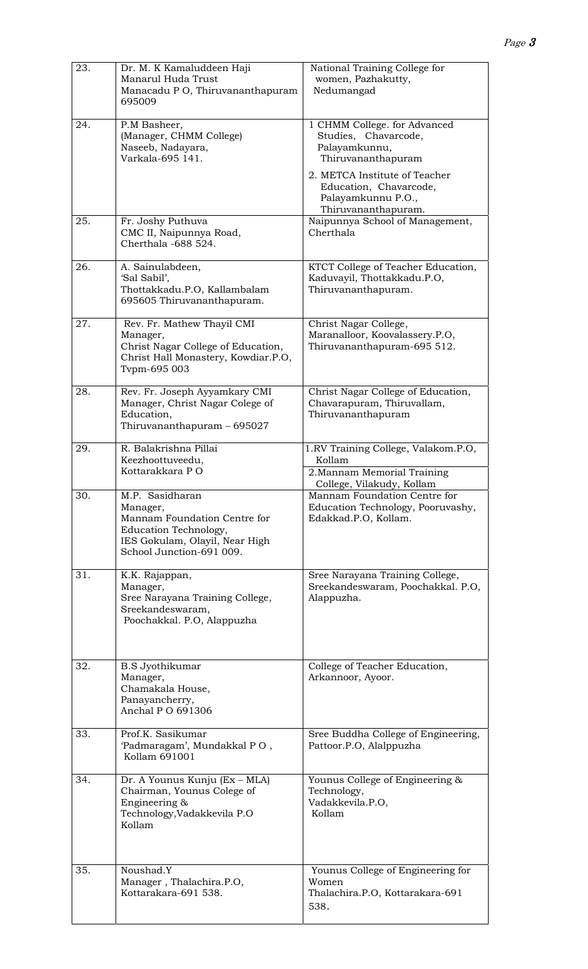| 23. | Dr. M. K Kamaluddeen Haji<br>Manarul Huda Trust<br>Manacadu P O, Thiruvananthapuram<br>695009                                                      | National Training College for<br>women, Pazhakutty,<br>Nedumangad                                                      |
|-----|----------------------------------------------------------------------------------------------------------------------------------------------------|------------------------------------------------------------------------------------------------------------------------|
| 24. | P.M Basheer,<br>(Manager, CHMM College)<br>Naseeb, Nadayara,<br>Varkala-695 141.                                                                   | 1 CHMM College. for Advanced<br>Studies, Chavarcode,<br>Palayamkunnu,<br>Thiruvananthapuram                            |
|     |                                                                                                                                                    | 2. METCA Institute of Teacher<br>Education, Chavarcode,<br>Palayamkunnu P.O.,<br>Thiruvananthapuram.                   |
| 25. | Fr. Joshy Puthuva<br>CMC II, Naipunnya Road,<br>Cherthala -688 524.                                                                                | Naipunnya School of Management,<br>Cherthala                                                                           |
| 26. | A. Sainulabdeen,<br>'Sal Sabil',<br>Thottakkadu.P.O, Kallambalam<br>695605 Thiruvananthapuram.                                                     | KTCT College of Teacher Education,<br>Kaduvayil, Thottakkadu.P.O,<br>Thiruvananthapuram.                               |
| 27. | Rev. Fr. Mathew Thayil CMI<br>Manager,<br>Christ Nagar College of Education,<br>Christ Hall Monastery, Kowdiar.P.O,<br>Tvpm-695 003                | Christ Nagar College,<br>Maranalloor, Koovalassery.P.O,<br>Thiruvananthapuram-695 512.                                 |
| 28. | Rev. Fr. Joseph Ayyamkary CMI<br>Manager, Christ Nagar Colege of<br>Education,<br>Thiruvananthapuram - 695027                                      | Christ Nagar College of Education,<br>Chavarapuram, Thiruvallam,<br>Thiruvananthapuram                                 |
| 29. | R. Balakrishna Pillai<br>Keezhoottuveedu,<br>Kottarakkara PO                                                                                       | 1.RV Training College, Valakom.P.O,<br>Kollam<br>2. Mannam Memorial Training                                           |
| 30. | M.P. Sasidharan<br>Manager,<br>Mannam Foundation Centre for<br>Education Technology,<br>IES Gokulam, Olayil, Near High<br>School Junction-691 009. | College, Vilakudy, Kollam<br>Mannam Foundation Centre for<br>Education Technology, Pooruvashy,<br>Edakkad.P.O, Kollam. |
| 31. | K.K. Rajappan,<br>Manager,<br>Sree Narayana Training College,<br>Sreekandeswaram,<br>Poochakkal. P.O, Alappuzha                                    | Sree Narayana Training College,<br>Sreekandeswaram, Poochakkal. P.O,<br>Alappuzha.                                     |
| 32. | <b>B.S</b> Jyothikumar<br>Manager,<br>Chamakala House,<br>Panayancherry,<br>Anchal P O 691306                                                      | College of Teacher Education,<br>Arkannoor, Ayoor.                                                                     |
| 33. | Prof.K. Sasikumar<br>'Padmaragam', Mundakkal PO,<br>Kollam 691001                                                                                  | Sree Buddha College of Engineering,<br>Pattoor.P.O, Alalppuzha                                                         |
| 34. | Dr. A Younus Kunju (Ex - MLA)<br>Chairman, Younus Colege of<br>Engineering &<br>Technology, Vadakkevila P.O<br>Kollam                              | Younus College of Engineering &<br>Technology,<br>Vadakkevila.P.O,<br>Kollam                                           |
| 35. | Noushad.Y<br>Manager, Thalachira.P.O,<br>Kottarakara-691 538.                                                                                      | Younus College of Engineering for<br>Women<br>Thalachira.P.O, Kottarakara-691<br>538.                                  |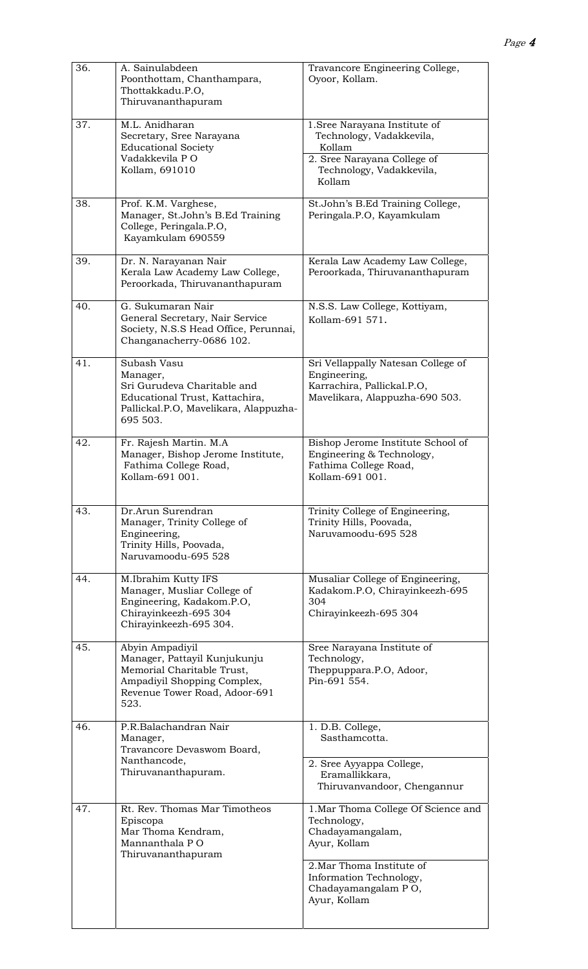| 36. | A. Sainulabdeen<br>Poonthottam, Chanthampara,<br>Thottakkadu.P.O,<br>Thiruvananthapuram                                                               | Travancore Engineering College,<br>Oyoor, Kollam.                                                                                        |
|-----|-------------------------------------------------------------------------------------------------------------------------------------------------------|------------------------------------------------------------------------------------------------------------------------------------------|
| 37. | M.L. Anidharan<br>Secretary, Sree Narayana<br><b>Educational Society</b><br>Vadakkevila PO<br>Kollam, 691010                                          | 1. Sree Narayana Institute of<br>Technology, Vadakkevila,<br>Kollam<br>2. Sree Narayana College of<br>Technology, Vadakkevila,<br>Kollam |
| 38. | Prof. K.M. Varghese,<br>Manager, St.John's B.Ed Training<br>College, Peringala.P.O,<br>Kayamkulam 690559                                              | St.John's B.Ed Training College,<br>Peringala.P.O, Kayamkulam                                                                            |
| 39. | Dr. N. Narayanan Nair<br>Kerala Law Academy Law College,<br>Peroorkada, Thiruvananthapuram                                                            | Kerala Law Academy Law College,<br>Peroorkada, Thiruvananthapuram                                                                        |
| 40. | G. Sukumaran Nair<br>General Secretary, Nair Service<br>Society, N.S.S Head Office, Perunnai,<br>Changanacherry-0686 102.                             | N.S.S. Law College, Kottiyam,<br>Kollam-691 571.                                                                                         |
| 41. | Subash Vasu<br>Manager,<br>Sri Gurudeva Charitable and<br>Educational Trust, Kattachira,<br>Pallickal.P.O, Mavelikara, Alappuzha-<br>695 503.         | Sri Vellappally Natesan College of<br>Engineering,<br>Karrachira, Pallickal.P.O,<br>Mavelikara, Alappuzha-690 503.                       |
| 42. | Fr. Rajesh Martin. M.A<br>Manager, Bishop Jerome Institute,<br>Fathima College Road,<br>Kollam-691 001.                                               | Bishop Jerome Institute School of<br>Engineering & Technology,<br>Fathima College Road,<br>Kollam-691 001.                               |
| 43. | Dr.Arun Surendran<br>Manager, Trinity College of<br>Engineering,<br>Trinity Hills, Poovada,<br>Naruvamoodu-695 528                                    | Trinity College of Engineering,<br>Trinity Hills, Poovada,<br>Naruvamoodu-695 528                                                        |
| 44. | M.Ibrahim Kutty IFS<br>Manager, Musliar College of<br>Engineering, Kadakom.P.O,<br>Chirayinkeezh-695 304<br>Chirayinkeezh-695 304.                    | Musaliar College of Engineering,<br>Kadakom.P.O, Chirayinkeezh-695<br>304<br>Chirayinkeezh-695 304                                       |
| 45. | Abyin Ampadiyil<br>Manager, Pattayil Kunjukunju<br>Memorial Charitable Trust,<br>Ampadiyil Shopping Complex,<br>Revenue Tower Road, Adoor-691<br>523. | Sree Narayana Institute of<br>Technology,<br>Theppuppara.P.O, Adoor,<br>Pin-691 554.                                                     |
| 46. | P.R.Balachandran Nair<br>Manager,<br>Travancore Devaswom Board,<br>Nanthancode,<br>Thiruvananthapuram.                                                | 1. D.B. College,<br>Sasthamcotta.<br>2. Sree Ayyappa College,<br>Eramallikkara,<br>Thiruvanvandoor, Chengannur                           |
| 47. | Rt. Rev. Thomas Mar Timotheos<br>Episcopa<br>Mar Thoma Kendram,<br>Mannanthala PO<br>Thiruvananthapuram                                               | 1. Mar Thoma College Of Science and<br>Technology,<br>Chadayamangalam,<br>Ayur, Kollam                                                   |
|     |                                                                                                                                                       | 2. Mar Thoma Institute of<br>Information Technology,<br>Chadayamangalam PO,<br>Ayur, Kollam                                              |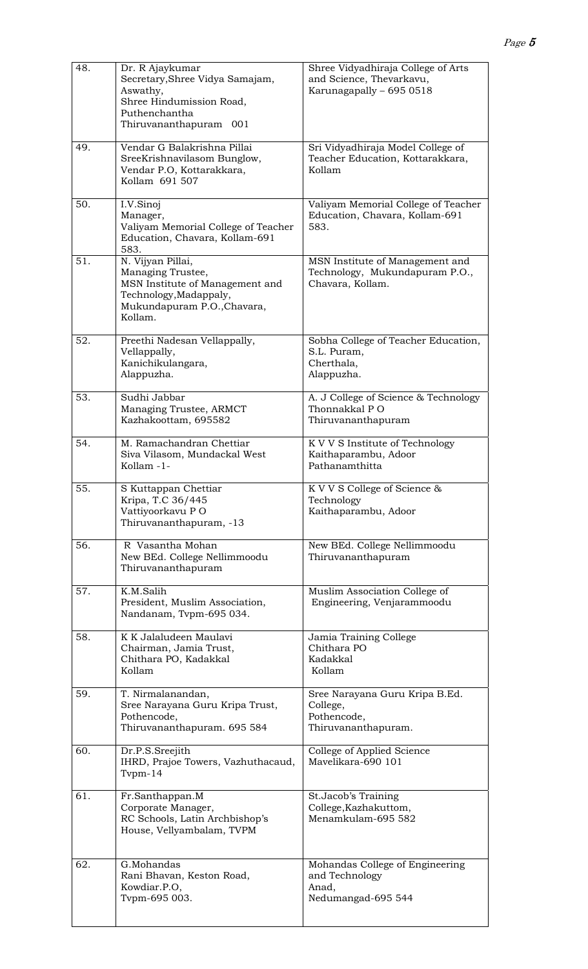| 48. | Dr. R Ajaykumar<br>Secretary, Shree Vidya Samajam,        | Shree Vidyadhiraja College of Arts<br>and Science, Thevarkavu, |
|-----|-----------------------------------------------------------|----------------------------------------------------------------|
|     | Aswathy,                                                  | Karunagapally - 695 0518                                       |
|     | Shree Hindumission Road,<br>Puthenchantha                 |                                                                |
|     | Thiruvananthapuram 001                                    |                                                                |
| 49. | Vendar G Balakrishna Pillai                               | Sri Vidyadhiraja Model College of                              |
|     | SreeKrishnavilasom Bunglow,<br>Vendar P.O, Kottarakkara,  | Teacher Education, Kottarakkara,<br>Kollam                     |
|     | Kollam 691 507                                            |                                                                |
| 50. | I.V.Sinoj                                                 | Valiyam Memorial College of Teacher                            |
|     | Manager,<br>Valiyam Memorial College of Teacher           | Education, Chavara, Kollam-691<br>583.                         |
|     | Education, Chavara, Kollam-691<br>583.                    |                                                                |
| 51. | N. Vijyan Pillai,                                         | MSN Institute of Management and                                |
|     | Managing Trustee,<br>MSN Institute of Management and      | Technology, Mukundapuram P.O.,<br>Chavara, Kollam.             |
|     | Technology, Madappaly,<br>Mukundapuram P.O., Chavara,     |                                                                |
|     | Kollam.                                                   |                                                                |
| 52. | Preethi Nadesan Vellappally,                              | Sobha College of Teacher Education,                            |
|     | Vellappally,<br>Kanichikulangara,                         | S.L. Puram,<br>Cherthala,                                      |
|     | Alappuzha.                                                | Alappuzha.                                                     |
| 53. | Sudhi Jabbar                                              | A. J College of Science & Technology                           |
|     | Managing Trustee, ARMCT<br>Kazhakoottam, 695582           | Thonnakkal PO<br>Thiruvananthapuram                            |
|     |                                                           |                                                                |
| 54. | M. Ramachandran Chettiar<br>Siva Vilasom, Mundackal West  | K V V S Institute of Technology<br>Kaithaparambu, Adoor        |
|     | Kollam -1-                                                | Pathanamthitta                                                 |
| 55. | S Kuttappan Chettiar                                      | K V V S College of Science &                                   |
|     | Kripa, T.C 36/445<br>Vattiyoorkavu PO                     | Technology<br>Kaithaparambu, Adoor                             |
|     | Thiruvananthapuram, -13                                   |                                                                |
| 56. | R Vasantha Mohan<br>New BEd. College Nellimmoodu          | New BEd. College Nellimmoodu<br>Thiruvananthapuram             |
|     | Thiruvananthapuram                                        |                                                                |
| 57. | K.M.Salih                                                 | Muslim Association College of                                  |
|     | President, Muslim Association,<br>Nandanam, Tvpm-695 034. | Engineering, Venjarammoodu                                     |
|     |                                                           |                                                                |
| 58. | K K Jalaludeen Maulavi<br>Chairman, Jamia Trust,          | Jamia Training College<br>Chithara PO                          |
|     | Chithara PO, Kadakkal<br>Kollam                           | Kadakkal<br>Kollam                                             |
|     |                                                           |                                                                |
| 59. | T. Nirmalanandan,<br>Sree Narayana Guru Kripa Trust,      | Sree Narayana Guru Kripa B.Ed.<br>College,                     |
|     | Pothencode,                                               | Pothencode,                                                    |
|     | Thiruvananthapuram. 695 584                               | Thiruvananthapuram.                                            |
| 60. | Dr.P.S.Sreejith<br>IHRD, Prajoe Towers, Vazhuthacaud,     | College of Applied Science<br>Mavelikara-690 101               |
|     | Typm- $14$                                                |                                                                |
| 61. | Fr.Santhappan.M                                           | St.Jacob's Training                                            |
|     | Corporate Manager,<br>RC Schools, Latin Archbishop's      | College, Kazhakuttom,<br>Menamkulam-695 582                    |
|     | House, Vellyambalam, TVPM                                 |                                                                |
|     |                                                           |                                                                |
| 62. | G.Mohandas<br>Rani Bhavan, Keston Road,                   | Mohandas College of Engineering<br>and Technology              |
|     | Kowdiar.P.O,                                              | Anad,                                                          |
|     | Tvpm-695 003.                                             | Nedumangad-695 544                                             |
|     |                                                           |                                                                |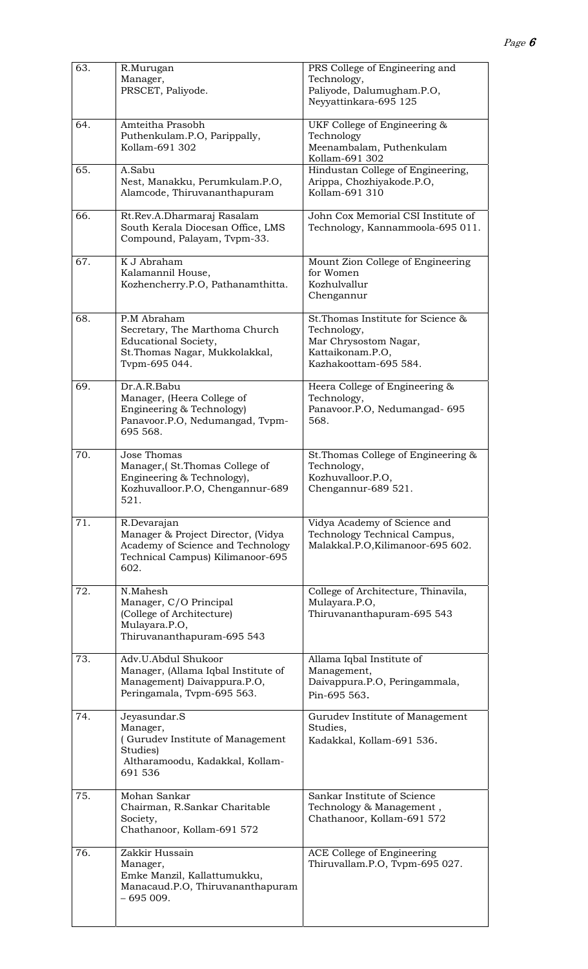| 63. | R.Murugan                                                               | PRS College of Engineering and                                    |
|-----|-------------------------------------------------------------------------|-------------------------------------------------------------------|
|     | Manager,                                                                | Technology,                                                       |
|     | PRSCET, Paliyode.                                                       | Paliyode, Dalumugham.P.O,<br>Neyyattinkara-695 125                |
|     |                                                                         |                                                                   |
| 64. | Amteitha Prasobh                                                        | UKF College of Engineering &                                      |
|     | Puthenkulam.P.O, Parippally,<br>Kollam-691 302                          | Technology                                                        |
|     |                                                                         | Meenambalam, Puthenkulam<br>Kollam-691 302                        |
| 65. | A.Sabu                                                                  | Hindustan College of Engineering,                                 |
|     | Nest, Manakku, Perumkulam.P.O,                                          | Arippa, Chozhiyakode.P.O,                                         |
|     | Alamcode, Thiruvananthapuram                                            | Kollam-691 310                                                    |
| 66. | Rt.Rev.A.Dharmaraj Rasalam                                              | John Cox Memorial CSI Institute of                                |
|     | South Kerala Diocesan Office, LMS                                       | Technology, Kannammoola-695 011.                                  |
|     | Compound, Palayam, Tvpm-33.                                             |                                                                   |
| 67. | K J Abraham                                                             | Mount Zion College of Engineering                                 |
|     | Kalamannil House,                                                       | for Women                                                         |
|     | Kozhencherry.P.O, Pathanamthitta.                                       | Kozhulvallur                                                      |
|     |                                                                         | Chengannur                                                        |
| 68. | P.M Abraham                                                             | St. Thomas Institute for Science &                                |
|     | Secretary, The Marthoma Church                                          | Technology,                                                       |
|     | Educational Society,                                                    | Mar Chrysostom Nagar,                                             |
|     | St. Thomas Nagar, Mukkolakkal,                                          | Kattaikonam.P.O,                                                  |
|     | Tvpm-695 044.                                                           | Kazhakoottam-695 584.                                             |
| 69. | Dr.A.R.Babu                                                             | Heera College of Engineering &                                    |
|     | Manager, (Heera College of                                              | Technology,                                                       |
|     | Engineering & Technology)                                               | Panavoor.P.O, Nedumangad- 695                                     |
|     | Panavoor.P.O, Nedumangad, Tvpm-<br>695 568.                             | 568.                                                              |
|     |                                                                         |                                                                   |
| 70. | Jose Thomas                                                             | St. Thomas College of Engineering &                               |
|     | Manager, (St. Thomas College of                                         | Technology,                                                       |
|     | Engineering & Technology),                                              | Kozhuvalloor.P.O,                                                 |
|     | Kozhuvalloor.P.O, Chengannur-689<br>521.                                | Chengannur-689 521.                                               |
|     |                                                                         |                                                                   |
| 71. | R.Devarajan                                                             | Vidya Academy of Science and                                      |
|     | Manager & Project Director, (Vidya<br>Academy of Science and Technology | Technology Technical Campus,<br>Malakkal.P.O, Kilimanoor-695 602. |
|     | Technical Campus) Kilimanoor-695                                        |                                                                   |
|     | 602.                                                                    |                                                                   |
|     |                                                                         |                                                                   |
| 72. | N.Mahesh<br>Manager, C/O Principal                                      | College of Architecture, Thinavila,<br>Mulayara.P.O,              |
|     | (College of Architecture)                                               | Thiruvananthapuram-695 543                                        |
|     | Mulayara.P.O,                                                           |                                                                   |
|     | Thiruvananthapuram-695 543                                              |                                                                   |
| 73. | Adv.U.Abdul Shukoor                                                     | Allama Iqbal Institute of                                         |
|     | Manager, (Allama Iqbal Institute of                                     | Management,                                                       |
|     | Management) Daivappura.P.O,                                             | Daivappura.P.O, Peringammala,                                     |
|     | Peringamala, Tvpm-695 563.                                              | Pin-695 563.                                                      |
| 74. | Jeyasundar.S                                                            | Gurudev Institute of Management                                   |
|     | Manager,                                                                | Studies,                                                          |
|     | (Gurudev Institute of Management                                        | Kadakkal, Kollam-691 536.                                         |
|     | Studies)                                                                |                                                                   |
|     | Altharamoodu, Kadakkal, Kollam-<br>691 536                              |                                                                   |
|     |                                                                         |                                                                   |
| 75. | Mohan Sankar                                                            | Sankar Institute of Science                                       |
|     | Chairman, R.Sankar Charitable                                           | Technology & Management,                                          |
|     | Society,<br>Chathanoor, Kollam-691 572                                  | Chathanoor, Kollam-691 572                                        |
|     |                                                                         |                                                                   |
| 76. | Zakkir Hussain                                                          | ACE College of Engineering                                        |
|     | Manager,                                                                | Thiruvallam.P.O, Tvpm-695 027.                                    |
|     | Emke Manzil, Kallattumukku,<br>Manacaud.P.O, Thiruvananthapuram         |                                                                   |
|     | $-695009.$                                                              |                                                                   |
|     |                                                                         |                                                                   |

 $\perp$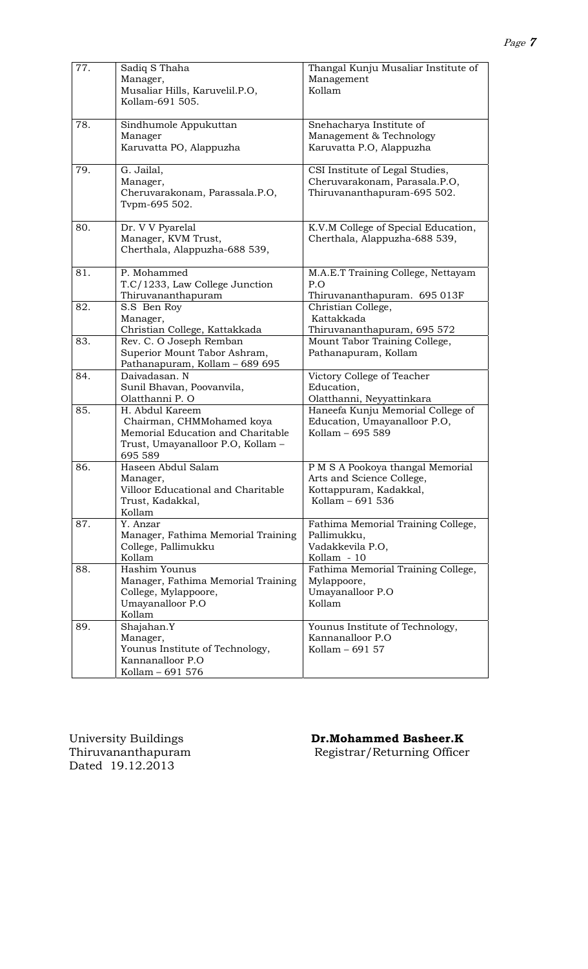| 77. | Sadiq S Thaha                                       | Thangal Kunju Musaliar Institute of       |
|-----|-----------------------------------------------------|-------------------------------------------|
|     | Manager,                                            | Management                                |
|     | Musaliar Hills, Karuvelil.P.O,                      | Kollam                                    |
|     | Kollam-691 505.                                     |                                           |
| 78. | Sindhumole Appukuttan                               | Snehacharya Institute of                  |
|     | Manager                                             | Management & Technology                   |
|     | Karuvatta PO, Alappuzha                             | Karuvatta P.O, Alappuzha                  |
|     |                                                     |                                           |
| 79. | G. Jailal,                                          | CSI Institute of Legal Studies,           |
|     | Manager,                                            | Cheruvarakonam, Parasala.P.O,             |
|     | Cheruvarakonam, Parassala.P.O,                      | Thiruvananthapuram-695 502.               |
|     | Tvpm-695 502.                                       |                                           |
| 80. | Dr. V V Pyarelal                                    | K.V.M College of Special Education,       |
|     | Manager, KVM Trust,                                 | Cherthala, Alappuzha-688 539,             |
|     | Cherthala, Alappuzha-688 539,                       |                                           |
|     |                                                     |                                           |
| 81. | P. Mohammed<br>T.C/1233, Law College Junction       | M.A.E.T Training College, Nettayam<br>P.O |
|     | Thiruvananthapuram                                  | Thiruvananthapuram. 695 013F              |
| 82. | S.S Ben Roy                                         | Christian College,                        |
|     | Manager,                                            | Kattakkada                                |
|     | Christian College, Kattakkada                       | Thiruvananthapuram, 695 572               |
| 83. | Rev. C. O Joseph Remban                             | Mount Tabor Training College,             |
|     | Superior Mount Tabor Ashram,                        | Pathanapuram, Kollam                      |
|     | Pathanapuram, Kollam - 689 695                      |                                           |
| 84. | Daivadasan. N                                       | Victory College of Teacher                |
|     | Sunil Bhavan, Poovanvila,                           | Education,                                |
|     | Olatthanni P. O                                     | Olatthanni, Neyyattinkara                 |
| 85. | H. Abdul Kareem                                     | Haneefa Kunju Memorial College of         |
|     | Chairman, CHMMohamed koya                           | Education, Umayanalloor P.O,              |
|     | Memorial Education and Charitable                   | Kollam - 695 589                          |
|     | Trust, Umayanalloor P.O, Kollam -                   |                                           |
| 86. | 695 589<br>Haseen Abdul Salam                       | P M S A Pookoya thangal Memorial          |
|     | Manager,                                            | Arts and Science College,                 |
|     | Villoor Educational and Charitable                  | Kottappuram, Kadakkal,                    |
|     | Trust, Kadakkal,                                    | Kollam - 691 536                          |
|     | Kollam                                              |                                           |
| 87. | Y. Anzar                                            | Fathima Memorial Training College,        |
|     | Manager, Fathima Memorial Training                  | Pallimukku,                               |
|     | College, Pallimukku                                 | Vadakkevila P.O,                          |
|     | Kollam                                              | Kollam - 10                               |
| 88. | Hashim Younus                                       | Fathima Memorial Training College,        |
|     | Manager, Fathima Memorial Training                  | Mylappoore,                               |
|     | College, Mylappoore,                                | Umayanalloor P.O                          |
|     | Umayanalloor P.O                                    | Kollam                                    |
|     | Kollam                                              |                                           |
| 89. | Shajahan.Y                                          | Younus Institute of Technology,           |
|     | Manager,                                            | Kannanalloor P.O                          |
|     | Younus Institute of Technology,<br>Kannanalloor P.O | Kollam - 691 57                           |
|     | Kollam - 691 576                                    |                                           |
|     |                                                     |                                           |

Dated 19.12.2013

# University Buildings **Dr.Mohammed Basheer.K**  Registrar/Returning Officer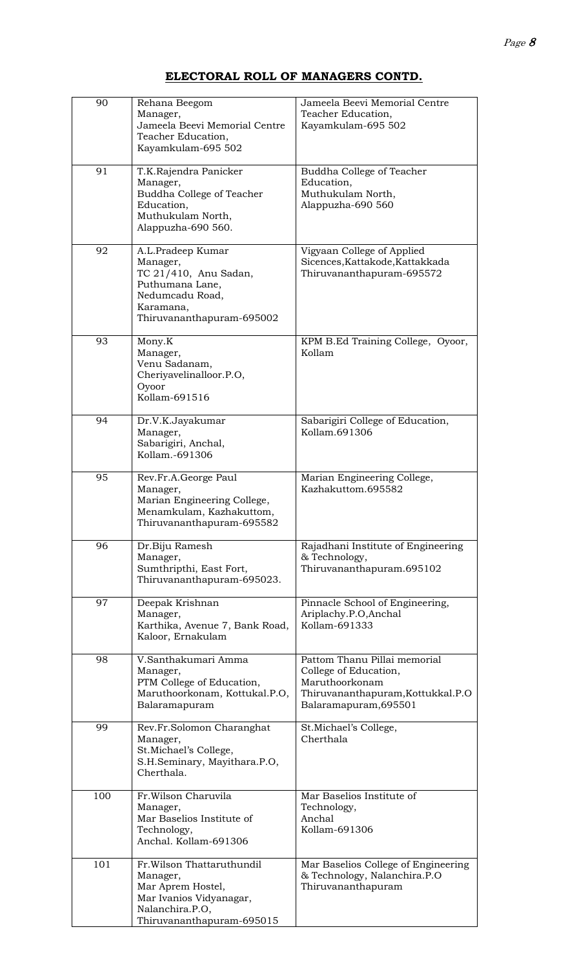# **ELECTORAL ROLL OF MANAGERS CONTD.**

| 90  | Rehana Beegom                                         | Jameela Beevi Memorial Centre              |
|-----|-------------------------------------------------------|--------------------------------------------|
|     | Manager,                                              | Teacher Education,                         |
|     | Jameela Beevi Memorial Centre                         | Kayamkulam-695 502                         |
|     | Teacher Education,                                    |                                            |
|     | Kayamkulam-695 502                                    |                                            |
| 91  | T.K.Rajendra Panicker                                 | Buddha College of Teacher                  |
|     | Manager,                                              | Education,                                 |
|     | Buddha College of Teacher                             | Muthukulam North,                          |
|     | Education,                                            | Alappuzha-690 560                          |
|     | Muthukulam North,<br>Alappuzha-690 560.               |                                            |
|     |                                                       |                                            |
| 92  | A.L.Pradeep Kumar                                     | Vigyaan College of Applied                 |
|     | Manager,                                              | Sicences, Kattakode, Kattakkada            |
|     | TC 21/410, Anu Sadan,<br>Puthumana Lane,              | Thiruvananthapuram-695572                  |
|     | Nedumcadu Road,                                       |                                            |
|     | Karamana,                                             |                                            |
|     | Thiruvananthapuram-695002                             |                                            |
| 93  | Mony.K                                                | KPM B.Ed Training College, Oyoor,          |
|     | Manager,                                              | Kollam                                     |
|     | Venu Sadanam,                                         |                                            |
|     | Cheriyavelinalloor.P.O,                               |                                            |
|     | Oyoor<br>Kollam-691516                                |                                            |
|     |                                                       |                                            |
| 94  | Dr.V.K.Jayakumar                                      | Sabarigiri College of Education,           |
|     | Manager,                                              | Kollam.691306                              |
|     | Sabarigiri, Anchal,<br>Kollam.-691306                 |                                            |
|     |                                                       |                                            |
| 95  | Rev.Fr.A.George Paul                                  | Marian Engineering College,                |
|     | Manager,                                              | Kazhakuttom.695582                         |
|     | Marian Engineering College,                           |                                            |
|     | Menamkulam, Kazhakuttom,<br>Thiruvananthapuram-695582 |                                            |
|     |                                                       |                                            |
| 96  | Dr.Biju Ramesh                                        | Rajadhani Institute of Engineering         |
|     | Manager,<br>Sumthripthi, East Fort,                   | & Technology,<br>Thiruvananthapuram.695102 |
|     | Thiruvananthapuram-695023.                            |                                            |
|     |                                                       |                                            |
| 97  | Deepak Krishnan                                       | Pinnacle School of Engineering,            |
|     | Manager,<br>Karthika, Avenue 7, Bank Road,            | Ariplachy.P.O, Anchal<br>Kollam-691333     |
|     | Kaloor, Ernakulam                                     |                                            |
|     |                                                       |                                            |
| 98  | V.Santhakumari Amma                                   | Pattom Thanu Pillai memorial               |
|     | Manager,<br>PTM College of Education,                 | College of Education,<br>Maruthoorkonam    |
|     | Maruthoorkonam, Kottukal.P.O,                         | Thiruvananthapuram, Kottukkal.P.O          |
|     | Balaramapuram                                         | Balaramapuram, 695501                      |
| 99  |                                                       |                                            |
|     | Rev.Fr.Solomon Charanghat<br>Manager,                 | St.Michael's College,<br>Cherthala         |
|     | St.Michael's College,                                 |                                            |
|     | S.H.Seminary, Mayithara.P.O,                          |                                            |
|     | Cherthala.                                            |                                            |
| 100 | Fr.Wilson Charuvila                                   | Mar Baselios Institute of                  |
|     | Manager,                                              | Technology,                                |
|     | Mar Baselios Institute of                             | Anchal                                     |
|     | Technology,                                           | Kollam-691306                              |
|     | Anchal. Kollam-691306                                 |                                            |
| 101 | Fr. Wilson Thattaruthundil                            | Mar Baselios College of Engineering        |
|     | Manager,                                              | & Technology, Nalanchira.P.O               |
|     | Mar Aprem Hostel,<br>Mar Ivanios Vidyanagar,          | Thiruvananthapuram                         |
|     | Nalanchira.P.O,                                       |                                            |
|     | Thiruvananthapuram-695015                             |                                            |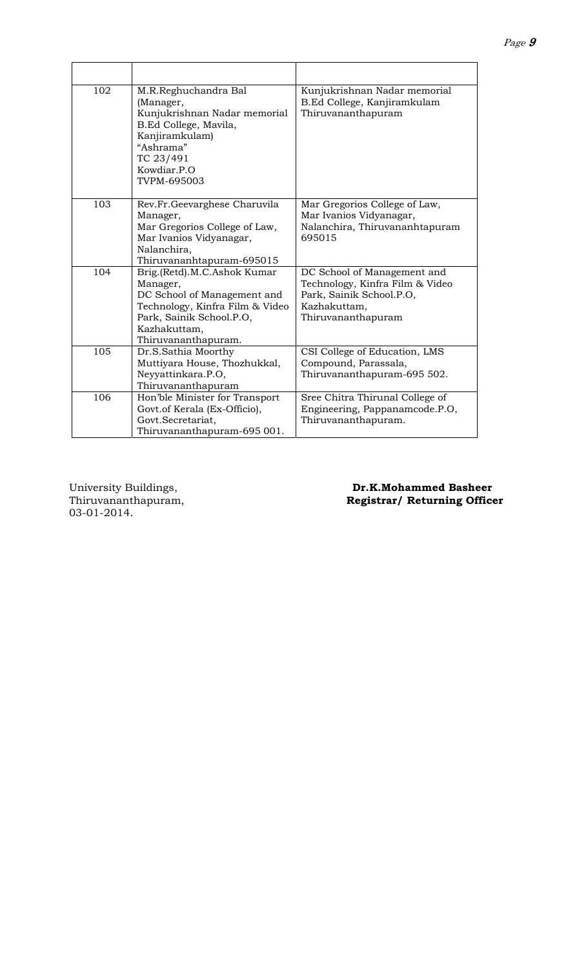| 102              | M.R.Reghuchandra Bal<br>(Manager,<br>Kunjukrishnan Nadar memorial<br>B.Ed College, Mavila,<br>Kanjiramkulam)<br>"Ashrama"<br>TC 23/491<br>Kowdiar.P.O<br>TVPM-695003         | Kunjukrishnan Nadar memorial<br>B.Ed College, Kanjiramkulam<br>Thiruvananthapuram                                                |
|------------------|------------------------------------------------------------------------------------------------------------------------------------------------------------------------------|----------------------------------------------------------------------------------------------------------------------------------|
| 103              | Rev.Fr.Geevarghese Charuvila<br>Manager,<br>Mar Gregorios College of Law,<br>Mar Ivanios Vidyanagar,<br>Nalanchira,<br>Thiruvananhtapuram-695015                             | Mar Gregorios College of Law,<br>Mar Ivanios Vidyanagar,<br>Nalanchira, Thiruvananhtapuram<br>695015                             |
| 104              | Brig.(Retd).M.C.Ashok Kumar<br>Manager,<br>DC School of Management and<br>Technology, Kinfra Film & Video<br>Park, Sainik School.P.O,<br>Kazhakuttam,<br>Thiruvananthapuram. | DC School of Management and<br>Technology, Kinfra Film & Video<br>Park, Sainik School.P.O,<br>Kazhakuttam,<br>Thiruvananthapuram |
| $\overline{105}$ | Dr.S.Sathia Moorthy<br>Muttiyara House, Thozhukkal,<br>Neyyattinkara.P.O,<br>Thiruvananthapuram                                                                              | CSI College of Education, LMS<br>Compound, Parassala,<br>Thiruvananthapuram-695 502.                                             |
| 106              | Hon'ble Minister for Transport<br>Govt.of Kerala (Ex-Officio),<br>Govt.Secretariat,<br>Thiruvananthapuram-695 001.                                                           | Sree Chitra Thirunal College of<br>Engineering, Pappanamcode.P.O,<br>Thiruvananthapuram.                                         |

Thiruvananthapuram,<br>03-01-2014.

University Buildings, **Dr.K.Mohammed Basheer** Registrar/ Returning Officer